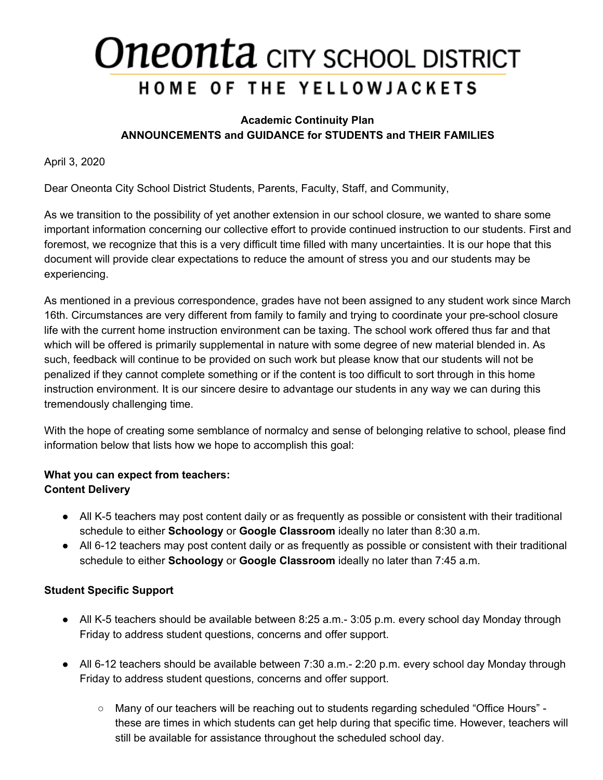#### **Academic Continuity Plan ANNOUNCEMENTS and GUIDANCE for STUDENTS and THEIR FAMILIES**

April 3, 2020

Dear Oneonta City School District Students, Parents, Faculty, Staff, and Community,

As we transition to the possibility of yet another extension in our school closure, we wanted to share some important information concerning our collective effort to provide continued instruction to our students. First and foremost, we recognize that this is a very difficult time filled with many uncertainties. It is our hope that this document will provide clear expectations to reduce the amount of stress you and our students may be experiencing.

As mentioned in a previous correspondence, grades have not been assigned to any student work since March 16th. Circumstances are very different from family to family and trying to coordinate your pre-school closure life with the current home instruction environment can be taxing. The school work offered thus far and that which will be offered is primarily supplemental in nature with some degree of new material blended in. As such, feedback will continue to be provided on such work but please know that our students will not be penalized if they cannot complete something or if the content is too difficult to sort through in this home instruction environment. It is our sincere desire to advantage our students in any way we can during this tremendously challenging time.

With the hope of creating some semblance of normalcy and sense of belonging relative to school, please find information below that lists how we hope to accomplish this goal:

### **What you can expect from teachers: Content Delivery**

- All K-5 teachers may post content daily or as frequently as possible or consistent with their traditional schedule to either **Schoology** or **Google Classroom** ideally no later than 8:30 a.m.
- All 6-12 teachers may post content daily or as frequently as possible or consistent with their traditional schedule to either **Schoology** or **Google Classroom** ideally no later than 7:45 a.m.

### **Student Specific Support**

- All K-5 teachers should be available between 8:25 a.m.- 3:05 p.m. every school day Monday through Friday to address student questions, concerns and offer support.
- All 6-12 teachers should be available between 7:30 a.m.- 2:20 p.m. every school day Monday through Friday to address student questions, concerns and offer support.
	- Many of our teachers will be reaching out to students regarding scheduled "Office Hours" these are times in which students can get help during that specific time. However, teachers will still be available for assistance throughout the scheduled school day.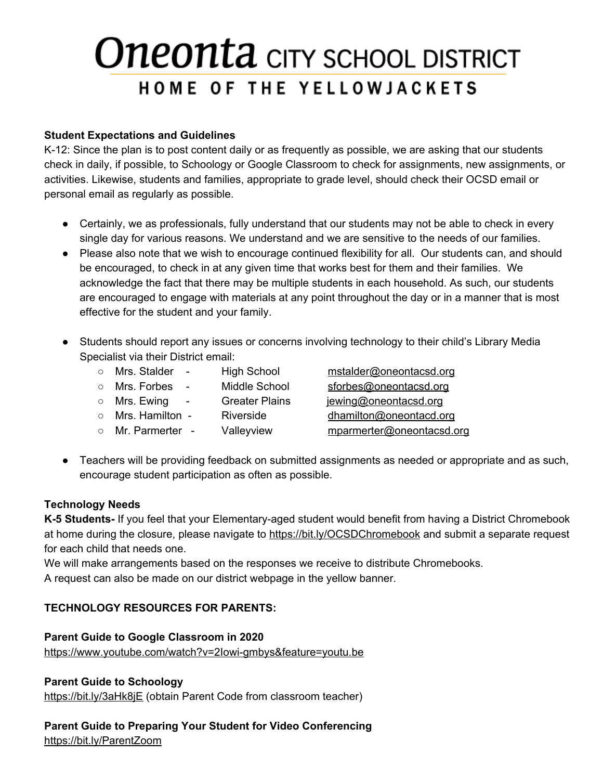#### **Student Expectations and Guidelines**

K-12: Since the plan is to post content daily or as frequently as possible, we are asking that our students check in daily, if possible, to Schoology or Google Classroom to check for assignments, new assignments, or activities. Likewise, students and families, appropriate to grade level, should check their OCSD email or personal email as regularly as possible.

- Certainly, we as professionals, fully understand that our students may not be able to check in every single day for various reasons. We understand and we are sensitive to the needs of our families.
- Please also note that we wish to encourage continued flexibility for all. Our students can, and should be encouraged, to check in at any given time that works best for them and their families. We acknowledge the fact that there may be multiple students in each household. As such, our students are encouraged to engage with materials at any point throughout the day or in a manner that is most effective for the student and your family.
- Students should report any issues or concerns involving technology to their child's Library Media Specialist via their District email:
	- Mrs. Stalder High School [mstalder@oneontacsd.org](mailto:mstalder@oneontacsd.org)
	- Mrs. Forbes Middle School [sforbes@oneontacsd.org](mailto:sforbes@oneontacsd.org)
	- Mrs. Ewing Greater Plains [jewing@oneontacsd.org](mailto:jewing@oneontacsd.org)
	- Mrs. Hamilton Riverside [dhamilton@oneontacd.org](mailto:dhamilton@oneontacd.org)
	- Mr. Parmerter Valleyview [mparmerter@oneontacsd.org](mailto:mparmerter@oneontacsd.org)

● Teachers will be providing feedback on submitted assignments as needed or appropriate and as such, encourage student participation as often as possible.

### **Technology Needs**

**K-5 Students-** If you feel that your Elementary-aged student would benefit from having a District Chromebook at home during the closure, please navigate to <https://bit.ly/OCSDChromebook> and submit a separate request for each child that needs one.

We will make arrangements based on the responses we receive to distribute Chromebooks.

A request can also be made on our district webpage in the yellow banner.

### **TECHNOLOGY RESOURCES FOR PARENTS:**

**Parent Guide to Google Classroom in 2020** <https://www.youtube.com/watch?v=2Iowi-gmbys&feature=youtu.be>

### **Parent Guide to Schoology**

<https://bit.ly/3aHk8jE> (obtain Parent Code from classroom teacher)

### **Parent Guide to Preparing Your Student for Video Conferencing**

<https://bit.ly/ParentZoom>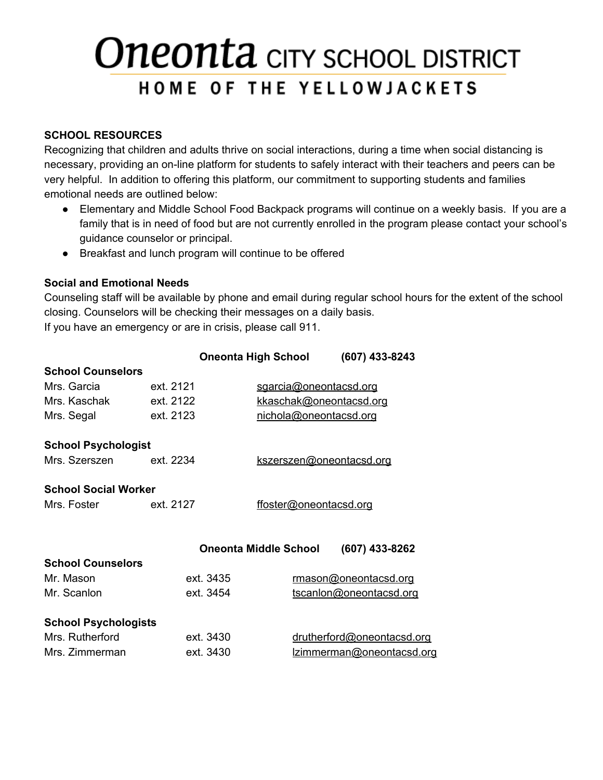### **SCHOOL RESOURCES**

Recognizing that children and adults thrive on social interactions, during a time when social distancing is necessary, providing an on-line platform for students to safely interact with their teachers and peers can be very helpful. In addition to offering this platform, our commitment to supporting students and families emotional needs are outlined below:

- Elementary and Middle School Food Backpack programs will continue on a weekly basis. If you are a family that is in need of food but are not currently enrolled in the program please contact your school's guidance counselor or principal.
- Breakfast and lunch program will continue to be offered

### **Social and Emotional Needs**

Counseling staff will be available by phone and email during regular school hours for the extent of the school closing. Counselors will be checking their messages on a daily basis. If you have an emergency or are in crisis, please call 911.

|                             |           | Oneonta High School          | (607) 433-8243             |  |
|-----------------------------|-----------|------------------------------|----------------------------|--|
| <b>School Counselors</b>    |           |                              |                            |  |
| Mrs. Garcia                 | ext. 2121 | sgarcia@oneontacsd.org       |                            |  |
| Mrs. Kaschak                | ext. 2122 |                              | kkaschak@oneontacsd.org    |  |
| Mrs. Segal                  | ext. 2123 |                              | nichola@oneontacsd.org     |  |
| <b>School Psychologist</b>  |           |                              |                            |  |
| Mrs. Szerszen               | ext. 2234 |                              | kszerszen@oneontacsd.org   |  |
| <b>School Social Worker</b> |           |                              |                            |  |
| Mrs. Foster                 | ext. 2127 |                              | ffoster@oneontacsd.org     |  |
|                             |           |                              |                            |  |
|                             |           | <b>Oneonta Middle School</b> | (607) 433-8262             |  |
| <b>School Counselors</b>    |           |                              |                            |  |
| Mr. Mason                   | ext. 3435 |                              | rmason@oneontacsd.org      |  |
| Mr. Scanlon                 | ext. 3454 |                              | tscanlon@oneontacsd.org    |  |
| <b>School Psychologists</b> |           |                              |                            |  |
| Mrs. Rutherford             | ext. 3430 |                              | drutherford@oneontacsd.org |  |
| Mrs. Zimmerman              | ext. 3430 |                              | lzimmerman@oneontacsd.org  |  |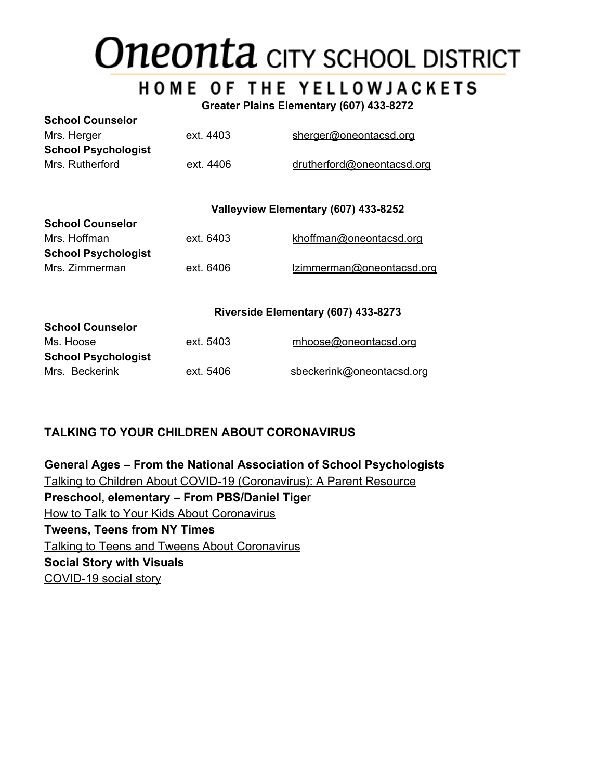# **Oneonta** CITY SCHOOL DISTRICT

### **HOME OF THE YELLOWJACKETS**

**Greater Plains Elementary (607) 433-8272**

| <b>School Counselor</b>    |           |                            |
|----------------------------|-----------|----------------------------|
| Mrs. Herger                | ext. 4403 | sherger@oneontacsd.org     |
| <b>School Psychologist</b> |           |                            |
| Mrs. Rutherford            | ext. 4406 | drutherford@oneontacsd.org |

#### **Valleyview Elementary (607) 433-8252**

| <u>ounuur ouunuuru</u>     |           |                           |
|----------------------------|-----------|---------------------------|
| Mrs. Hoffman               | ext. 6403 | khoffman@oneontacsd.org   |
| <b>School Psychologist</b> |           |                           |
| Mrs. Zimmerman             | ext. 6406 | Izimmerman@oneontacsd.org |

#### **Riverside Elementary (607) 433-8273**

| ext. 5403 | mhoose@oneontacsd.org     |
|-----------|---------------------------|
|           |                           |
| ext. 5406 | sbeckerink@oneontacsd.org |
|           |                           |

### **TALKING TO YOUR CHILDREN ABOUT CORONAVIRUS**

**School Counselor**

**General Ages – From the National Association of School Psychologists** [Talking to Children About COVID-19 \(Coronavirus\): A Parent Resource](https://www.nasponline.org/resources-and-publications/resources-and-podcasts/school-climate-safety-and-crisis/health-crisis-resources/talking-to-children-about-covid-19-(coronavirus)-a-parent-resource) **Preschool, elementary – From PBS/Daniel Tige**r [How to Talk to Your Kids About Coronavirus](https://www.pbs.org/parents/thrive/how-to-talk-to-your-kids-about-coronavirus) **Tweens, Teens from NY Times** [Talking to Teens and Tweens About Coronavirus](https://www.nytimes.com/2020/03/02/well/family/coronavirus-teenagers-anxiety.html) **Social Story with Visuals** [COVID-19 social story](https://littlepuddins.ie/wp-content/uploads/2020/03/The-Corona-Virus-Free-Printable-Updated-2-The-Autism-Educator-.pdf)